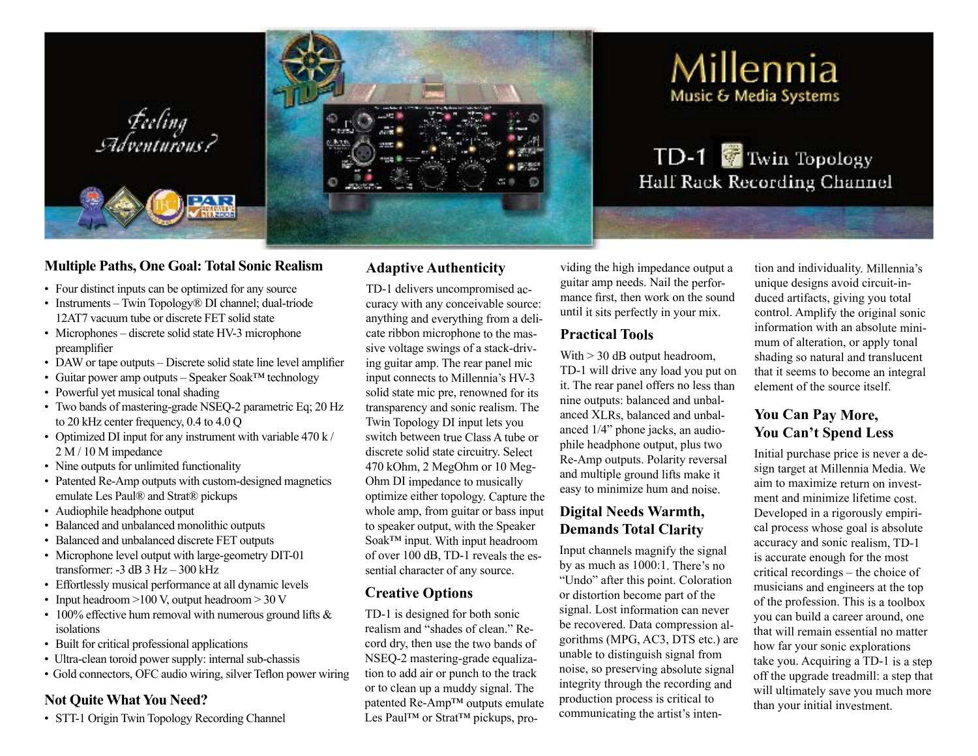

## **Multiple Paths, One Goal: Total Sonic Realism**

- Four distinct inputs can be optimized for any source
- Instruments Twin Topology® DI channel; dual-triode 12AT7 vacuum tube or discrete FET solid state
- Microphones discrete solid state HV-3 microphone preamplifier
- DAW or tape outputs Discrete solid state line level amplifier
- • Guitar power amp outputs Speaker Soak™ technology
- Powerful yet musical tonal shading
- Two bands of mastering-grade NSEQ-2 parametric Eq; 20 Hz to 20 kHz center frequency, 0.4 to 4.0 Q
- Optimized DI input for any instrument with variable  $470 \text{ k}$  / 2 M / 10 M impedance
- Nine outputs for unlimited functionality
- Patented Re-Amp outputs with custom-designed magnetics emulate Les Paul® and Strat® pickups
- Audiophile headphone output
- • Balanced and unbalanced monolithic outputs
- • Balanced and unbalanced discrete FET outputs
- Microphone level output with large-geometry DIT-01 transformer:  $-3$  dB  $3$  Hz $-300$  kHz
- Effortlessly musical performance at all dynamic levels
- Input headroom  $>100$  V, output headroom  $>30$  V
- 100% effective hum removal with numerous ground lifts  $\&$ isolations
- Built for critical professional applications
- Ultra-clean toroid power supply: internal sub-chassis
- Gold connectors, OFC audio wiring, silver Teflon power wiring

#### **Not Quite What You Need?**

• STT-1 Origin Twin Topology Recording Channel

## **Adaptive Authenticity**

TD-1 delivers uncompromised accuracy with any conceivable source: anything and everything from <sup>a</sup> delicate ribbon microphone to the massive voltage swings of <sup>a</sup> stack-driving guitar amp. The rear panel mic input connects to Millennia's HV-3 solid state mic pre, renowned for its transparency and sonic realism. The Twin Topology DI input lets you switch between true Class A tube or discrete solid state circuitry. Select 470 kOhm, 2 MegOhm or 10 Meg-Ohm DI impedance to musically optimize either topology. Capture the whole amp, from guitar or bass input to speaker output, with the Speaker Soak™ input. With input headroom of over 100 dB, TD-1 reveals the essential character of any source.

#### **Creative Options**

TD-1 is designed for both sonic realism and "shades of clean." Record dry, then use the two bands of NSEQ-2 mastering-grade equalization to add air or punch to the track or to clean up <sup>a</sup> muddy signal. The patented Re-Amp™ outputs emulate Les Paul™ or Strat™ pickups, pro-

viding the high impedance output <sup>a</sup> guitar amp needs. Nail the performance first, then work on the sound until it sits perfectly in your mix.

### **Practical Tools**

With  $>$  30 dB output headroom, TD-1 will drive any load you pu<sup>t</sup> on it. The rear panel offers no less than nine outputs: balanced and unbalanced XLRs, balanced and unbalanced 1/4" phone jacks, an audiophile headphone output, plus two Re-Amp outputs. Polarity reversal and multiple ground lifts make it easy to minimize hum and noise.

### **Digital Needs Warmth, Demands Total Clarity**

Input channels magnify the signal by as much as 1000:1. There's no "Undo" after this point. Coloration or distortion become par<sup>t</sup> of the signal. Lost information can never be recovered. Data compression algorithms (MPG, AC3, DTS etc.) are unable to distinguish signal from noise, so preserving absolute signal integrity through the recording and production process is critical to communicating the artist's intention and individuality. Millennia's unique designs avoid circuit-induced artifacts, giving you total control. Amplify the original sonic information with an absolute minimum of alteration, or apply tonal shading so natural and translucent that it seems to become an integral element of the source itself.

# **You Can Pay More, You Can't Spend Less**

Initial purchase price is never <sup>a</sup> design target at Millennia Media. We aim to maximize return on investment and minimize lifetime cost. Developed in <sup>a</sup> rigorously empirical process whose goal is absolute accuracy and sonic realism, TD-1 is accurate enough for the most critical recordings – the choice of musicians and engineers at the top of the profession. This is <sup>a</sup> toolbox you can build <sup>a</sup> career around, one that will remain essential no matter how far your sonic explorations take you. Acquiring <sup>a</sup> TD-1 is <sup>a</sup> step off the upgrade treadmill: <sup>a</sup> step that will ultimately save you much more than your initial investment.